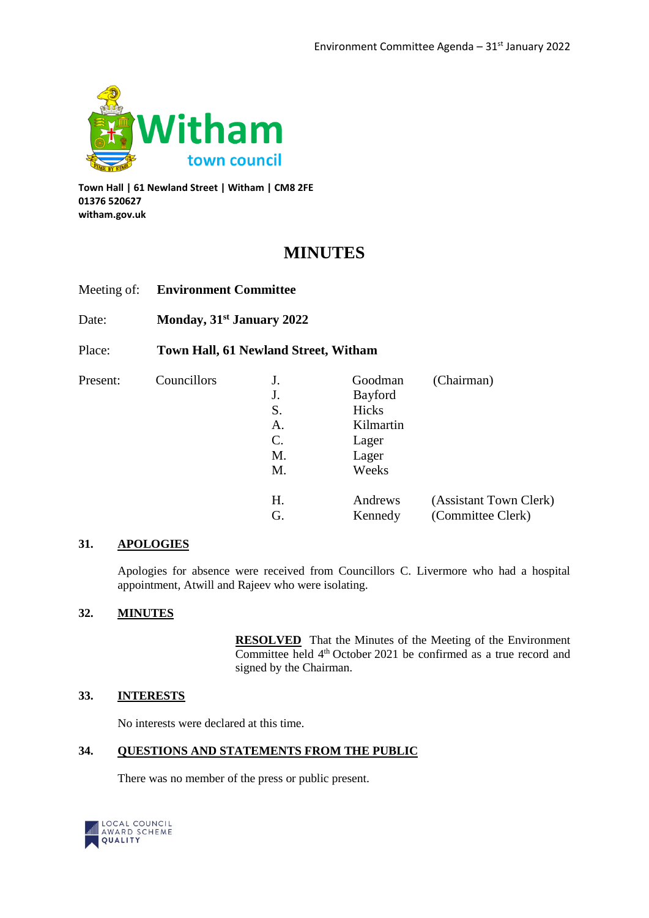

**Town Hall | 61 Newland Street | Witham | CM8 2FE 01376 520627 witham.gov.uk**

# **MINUTES**

| Meeting of: | <b>Environment Committee</b> |  |
|-------------|------------------------------|--|
|             |                              |  |

Date: **Monday, 31st January 2022**

Place: **Town Hall, 61 Newland Street, Witham**

| Councillors<br>Present: |                 | J.             | Goodman | (Chairman)             |
|-------------------------|-----------------|----------------|---------|------------------------|
|                         | J.              | <b>Bayford</b> |         |                        |
|                         | S.              | Hicks          |         |                        |
|                         | А.              | Kilmartin      |         |                        |
|                         | $\mathcal{C}$ . | Lager          |         |                        |
|                         | M.              | Lager          |         |                        |
|                         | M.              | Weeks          |         |                        |
|                         |                 | Η.             | Andrews | (Assistant Town Clerk) |
|                         |                 | G.             | Kennedy | (Committee Clerk)      |
|                         |                 |                |         |                        |

## **31. APOLOGIES**

Apologies for absence were received from Councillors C. Livermore who had a hospital appointment, Atwill and Rajeev who were isolating.

## **32. MINUTES**

**RESOLVED** That the Minutes of the Meeting of the Environment Committee held 4<sup>th</sup> October 2021 be confirmed as a true record and signed by the Chairman.

#### **33. INTERESTS**

No interests were declared at this time.

#### **34. QUESTIONS AND STATEMENTS FROM THE PUBLIC**

There was no member of the press or public present.

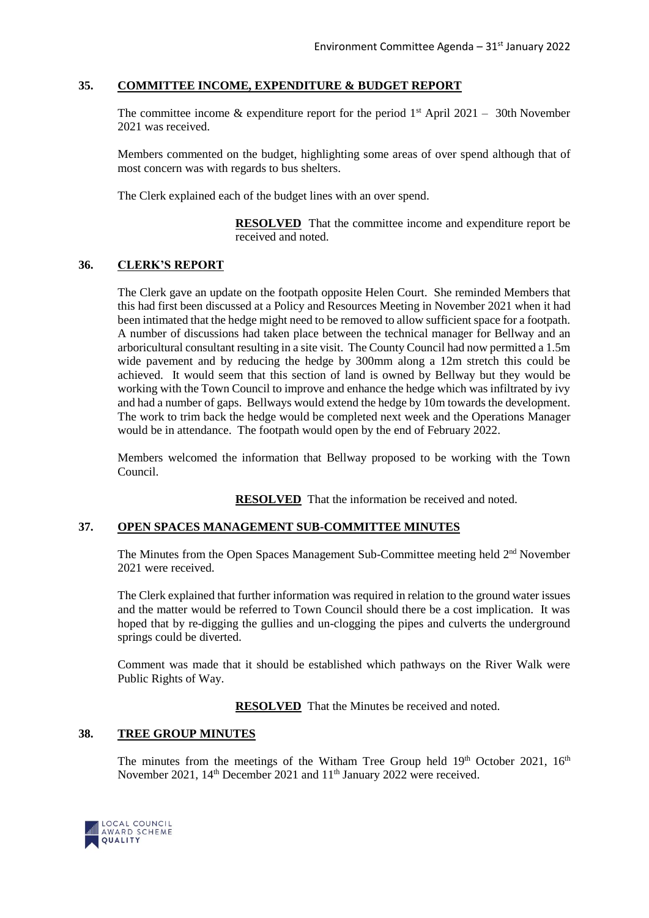## **35. COMMITTEE INCOME, EXPENDITURE & BUDGET REPORT**

The committee income & expenditure report for the period  $1<sup>st</sup>$  April 2021 – 30th November 2021 was received.

Members commented on the budget, highlighting some areas of over spend although that of most concern was with regards to bus shelters.

The Clerk explained each of the budget lines with an over spend.

**RESOLVED** That the committee income and expenditure report be received and noted.

### **36. CLERK'S REPORT**

The Clerk gave an update on the footpath opposite Helen Court. She reminded Members that this had first been discussed at a Policy and Resources Meeting in November 2021 when it had been intimated that the hedge might need to be removed to allow sufficient space for a footpath. A number of discussions had taken place between the technical manager for Bellway and an arboricultural consultant resulting in a site visit. The County Council had now permitted a 1.5m wide pavement and by reducing the hedge by 300mm along a 12m stretch this could be achieved. It would seem that this section of land is owned by Bellway but they would be working with the Town Council to improve and enhance the hedge which was infiltrated by ivy and had a number of gaps. Bellways would extend the hedge by 10m towards the development. The work to trim back the hedge would be completed next week and the Operations Manager would be in attendance. The footpath would open by the end of February 2022.

Members welcomed the information that Bellway proposed to be working with the Town Council.

**RESOLVED** That the information be received and noted.

#### **37. OPEN SPACES MANAGEMENT SUB-COMMITTEE MINUTES**

The Minutes from the Open Spaces Management Sub-Committee meeting held 2<sup>nd</sup> November 2021 were received.

The Clerk explained that further information was required in relation to the ground water issues and the matter would be referred to Town Council should there be a cost implication. It was hoped that by re-digging the gullies and un-clogging the pipes and culverts the underground springs could be diverted.

Comment was made that it should be established which pathways on the River Walk were Public Rights of Way.

**RESOLVED** That the Minutes be received and noted.

#### **38. TREE GROUP MINUTES**

The minutes from the meetings of the Witham Tree Group held  $19<sup>th</sup>$  October 2021,  $16<sup>th</sup>$ November 2021, 14<sup>th</sup> December 2021 and 11<sup>th</sup> January 2022 were received.

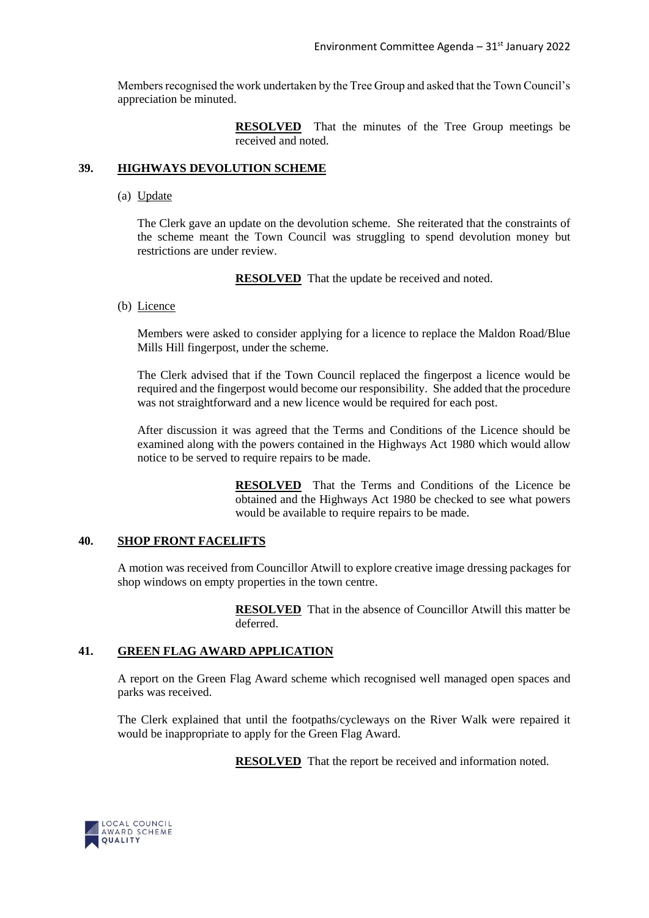Members recognised the work undertaken by the Tree Group and asked that the Town Council's appreciation be minuted.

> **RESOLVED** That the minutes of the Tree Group meetings be received and noted.

#### **39. HIGHWAYS DEVOLUTION SCHEME**

(a) Update

The Clerk gave an update on the devolution scheme. She reiterated that the constraints of the scheme meant the Town Council was struggling to spend devolution money but restrictions are under review.

**RESOLVED** That the update be received and noted.

(b) Licence

Members were asked to consider applying for a licence to replace the Maldon Road/Blue Mills Hill fingerpost, under the scheme.

The Clerk advised that if the Town Council replaced the fingerpost a licence would be required and the fingerpost would become our responsibility. She added that the procedure was not straightforward and a new licence would be required for each post.

After discussion it was agreed that the Terms and Conditions of the Licence should be examined along with the powers contained in the Highways Act 1980 which would allow notice to be served to require repairs to be made.

> **RESOLVED** That the Terms and Conditions of the Licence be obtained and the Highways Act 1980 be checked to see what powers would be available to require repairs to be made.

#### **40. SHOP FRONT FACELIFTS**

A motion was received from Councillor Atwill to explore creative image dressing packages for shop windows on empty properties in the town centre.

> **RESOLVED** That in the absence of Councillor Atwill this matter be deferred.

#### **41. GREEN FLAG AWARD APPLICATION**

A report on the Green Flag Award scheme which recognised well managed open spaces and parks was received.

The Clerk explained that until the footpaths/cycleways on the River Walk were repaired it would be inappropriate to apply for the Green Flag Award.

**RESOLVED** That the report be received and information noted.